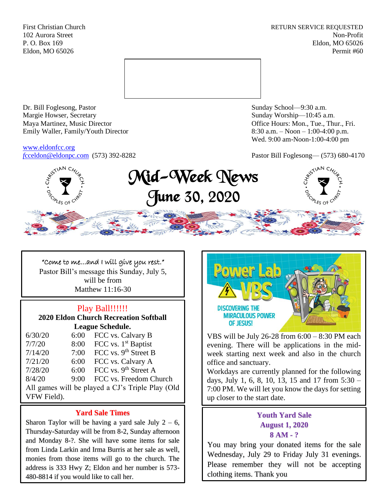First Christian Church **RETURN SERVICE REQUESTED** 102 Aurora Street Non-Profit P. O. Box 169 Eldon, MO 65026 Eldon, MO 65026 Permit #60



Dr. Bill Foglesong, Pastor Sunday School—9:30 a.m. Margie Howser, Secretary Sunday Worship—10:45 a.m. Maya Martinez, Music Director Office Hours: Mon., Tue., Thur., Fri. Emily Waller, Family/Youth Director 8:30 a.m. – Noon – 1:00-4:00 p.m.

[www.eldonfcc.org](http://www.eldonfcc.org/)

Wed. 9:00 am-Noon-1:00-4:00 pm

*f*[cceldon@eldonpc.com](mailto:fcceldon@eldonpc.com) (573) 392-8282 Pastor Bill Foglesong— (573) 680-4170



# Mid-Week News June 30, 2020



"Come to me…and I will give you rest." Pastor Bill's message this Sunday, July 5, will be from Matthew 11:16-30

# Play Ball!!!!!!

**2020 Eldon Church Recreation Softball League Schedule.**

| 6/30/20                                          | 6:00 | FCC vs. Calvary B                |  |  |
|--------------------------------------------------|------|----------------------------------|--|--|
| 7/7/20                                           | 8:00 | FCC vs. 1 <sup>st</sup> Baptist  |  |  |
| 7/14/20                                          | 7:00 | FCC vs. 9 <sup>th</sup> Street B |  |  |
| 7/21/20                                          | 6:00 | FCC vs. Calvary A                |  |  |
| 7/28/20                                          | 6:00 | FCC vs. 9 <sup>th</sup> Street A |  |  |
| 8/4/20                                           | 9:00 | FCC vs. Freedom Church           |  |  |
| All games will be played a CJ's Triple Play (Old |      |                                  |  |  |
| VFW Field).                                      |      |                                  |  |  |

# **Yard Sale Times**

Sharon Taylor will be having a yard sale July  $2 - 6$ , Thursday-Saturday will be from 8-2, Sunday afternoon and Monday 8-?. She will have some items for sale from Linda Larkin and Irma Burris at her sale as well, monies from those items will go to the church. The address is 333 Hwy Z; Eldon and her number is 573- 480-8814 if you would like to call her.



VBS will be July 26-28 from 6:00 – 8:30 PM each evening. There will be applications in the midweek starting next week and also in the church office and sanctuary.

Workdays are currently planned for the following days, July 1, 6, 8, 10, 13, 15 and 17 from 5:30 – 7:00 PM. We will let you know the days for setting up closer to the start date.

# **Youth Yard Sale August 1, 2020 8 AM - ?**

You may bring your donated items for the sale Wednesday, July 29 to Friday July 31 evenings. Please remember they will not be accepting clothing items. Thank you